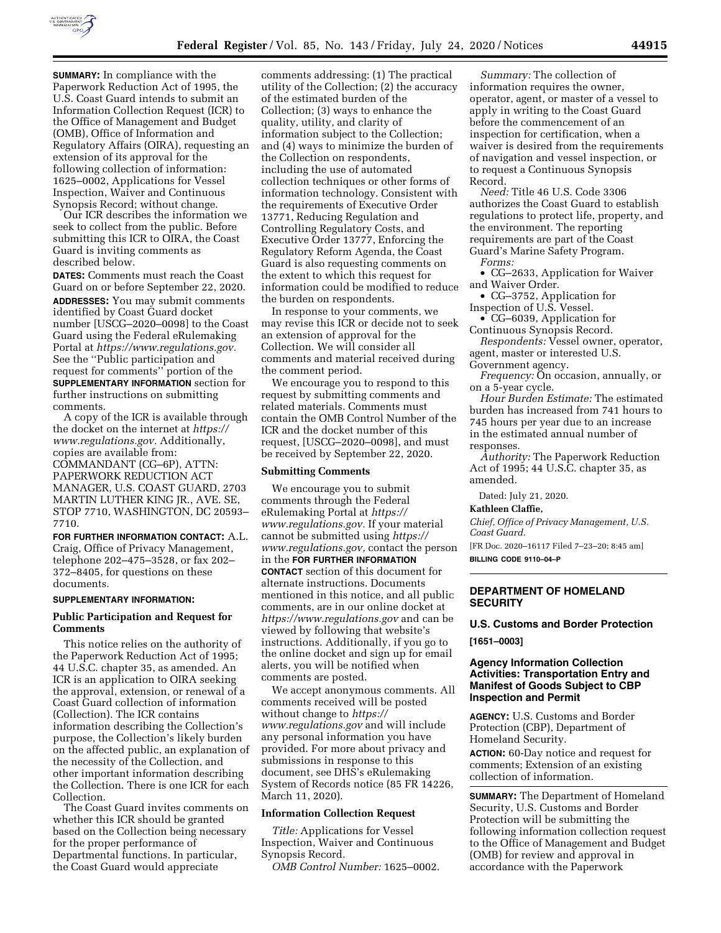

**SUMMARY:** In compliance with the Paperwork Reduction Act of 1995, the U.S. Coast Guard intends to submit an Information Collection Request (ICR) to the Office of Management and Budget (OMB), Office of Information and Regulatory Affairs (OIRA), requesting an extension of its approval for the following collection of information: 1625–0002, Applications for Vessel Inspection, Waiver and Continuous Synopsis Record; without change.

Our ICR describes the information we seek to collect from the public. Before submitting this ICR to OIRA, the Coast Guard is inviting comments as described below.

**DATES:** Comments must reach the Coast Guard on or before September 22, 2020. **ADDRESSES:** You may submit comments identified by Coast Guard docket number [USCG–2020–0098] to the Coast Guard using the Federal eRulemaking Portal at *[https://www.regulations.gov.](https://www.regulations.gov)*  See the ''Public participation and request for comments'' portion of the **SUPPLEMENTARY INFORMATION** section for further instructions on submitting comments.

A copy of the ICR is available through the docket on the internet at *[https://](https://www.regulations.gov) [www.regulations.gov.](https://www.regulations.gov)* Additionally, copies are available from: COMMANDANT (CG–6P), ATTN: PAPERWORK REDUCTION ACT MANAGER, U.S. COAST GUARD, 2703 MARTIN LUTHER KING JR., AVE. SE, STOP 7710, WASHINGTON, DC 20593– 7710.

**FOR FURTHER INFORMATION CONTACT:** A.L. Craig, Office of Privacy Management, telephone 202–475–3528, or fax 202– 372–8405, for questions on these documents.

## **SUPPLEMENTARY INFORMATION:**

### **Public Participation and Request for Comments**

This notice relies on the authority of the Paperwork Reduction Act of 1995; 44 U.S.C. chapter 35, as amended. An ICR is an application to OIRA seeking the approval, extension, or renewal of a Coast Guard collection of information (Collection). The ICR contains information describing the Collection's purpose, the Collection's likely burden on the affected public, an explanation of the necessity of the Collection, and other important information describing the Collection. There is one ICR for each Collection.

The Coast Guard invites comments on whether this ICR should be granted based on the Collection being necessary for the proper performance of Departmental functions. In particular, the Coast Guard would appreciate

comments addressing: (1) The practical utility of the Collection; (2) the accuracy of the estimated burden of the Collection; (3) ways to enhance the quality, utility, and clarity of information subject to the Collection; and (4) ways to minimize the burden of the Collection on respondents, including the use of automated collection techniques or other forms of information technology. Consistent with the requirements of Executive Order 13771, Reducing Regulation and Controlling Regulatory Costs, and Executive Order 13777, Enforcing the Regulatory Reform Agenda, the Coast Guard is also requesting comments on the extent to which this request for information could be modified to reduce the burden on respondents.

In response to your comments, we may revise this ICR or decide not to seek an extension of approval for the Collection. We will consider all comments and material received during the comment period.

We encourage you to respond to this request by submitting comments and related materials. Comments must contain the OMB Control Number of the ICR and the docket number of this request, [USCG–2020–0098], and must be received by September 22, 2020.

## **Submitting Comments**

We encourage you to submit comments through the Federal eRulemaking Portal at *[https://](https://www.regulations.gov) [www.regulations.gov.](https://www.regulations.gov)* If your material cannot be submitted using *[https://](https://www.regulations.gov) [www.regulations.gov,](https://www.regulations.gov)* contact the person in the **FOR FURTHER INFORMATION CONTACT** section of this document for alternate instructions. Documents mentioned in this notice, and all public comments, are in our online docket at *<https://www.regulations.gov>* and can be viewed by following that website's instructions. Additionally, if you go to the online docket and sign up for email alerts, you will be notified when comments are posted.

We accept anonymous comments. All comments received will be posted without change to *[https://](https://www.regulations.gov) [www.regulations.gov](https://www.regulations.gov)* and will include any personal information you have provided. For more about privacy and submissions in response to this document, see DHS's eRulemaking System of Records notice (85 FR 14226, March 11, 2020).

### **Information Collection Request**

*Title:* Applications for Vessel Inspection, Waiver and Continuous Synopsis Record.

*OMB Control Number:* 1625–0002.

*Summary:* The collection of information requires the owner, operator, agent, or master of a vessel to apply in writing to the Coast Guard before the commencement of an inspection for certification, when a waiver is desired from the requirements of navigation and vessel inspection, or to request a Continuous Synopsis Record.

*Need:* Title 46 U.S. Code 3306 authorizes the Coast Guard to establish regulations to protect life, property, and the environment. The reporting requirements are part of the Coast Guard's Marine Safety Program. *Forms:* 

• CG–2633, Application for Waiver and Waiver Order.

• CG–3752, Application for Inspection of U.S. Vessel.

• CG–6039, Application for Continuous Synopsis Record.

*Respondents:* Vessel owner, operator, agent, master or interested U.S.

Government agency.

*Frequency:* On occasion, annually, or on a 5-year cycle.

*Hour Burden Estimate:* The estimated burden has increased from 741 hours to 745 hours per year due to an increase in the estimated annual number of responses.

*Authority:* The Paperwork Reduction Act of 1995; 44 U.S.C. chapter 35, as amended.

Dated: July 21, 2020.

**Kathleen Claffie,** 

*Chief, Office of Privacy Management, U.S. Coast Guard.* 

[FR Doc. 2020–16117 Filed 7–23–20; 8:45 am] **BILLING CODE 9110–04–P** 

## **DEPARTMENT OF HOMELAND SECURITY**

# **U.S. Customs and Border Protection [1651–0003]**

## **Agency Information Collection Activities: Transportation Entry and Manifest of Goods Subject to CBP Inspection and Permit**

**AGENCY:** U.S. Customs and Border Protection (CBP), Department of Homeland Security.

**ACTION:** 60-Day notice and request for comments; Extension of an existing collection of information.

**SUMMARY:** The Department of Homeland Security, U.S. Customs and Border Protection will be submitting the following information collection request to the Office of Management and Budget (OMB) for review and approval in accordance with the Paperwork